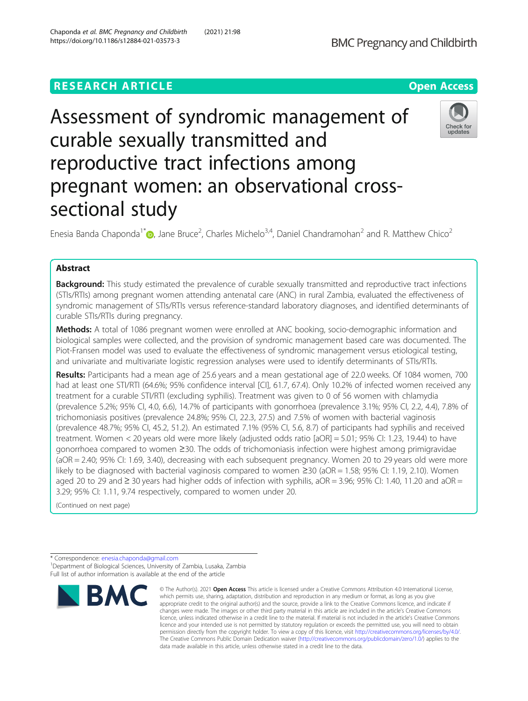# **RESEARCH ARTICLE Example 2014 12:30 The Contract of Contract ACCESS**

# Assessment of syndromic management of curable sexually transmitted and reproductive tract infections among pregnant women: an observational crosssectional study

Enesia Banda Chaponda<sup>1\*</sup> (D)[,](http://orcid.org/0000-0002-8958-2451) Jane Bruce<sup>2</sup>, Charles Michelo<sup>3,4</sup>, Daniel Chandramohan<sup>2</sup> and R. Matthew Chico<sup>2</sup>

# Abstract

**Background:** This study estimated the prevalence of curable sexually transmitted and reproductive tract infections (STIs/RTIs) among pregnant women attending antenatal care (ANC) in rural Zambia, evaluated the effectiveness of syndromic management of STIs/RTIs versus reference-standard laboratory diagnoses, and identified determinants of curable STIs/RTIs during pregnancy.

Methods: A total of 1086 pregnant women were enrolled at ANC booking, socio-demographic information and biological samples were collected, and the provision of syndromic management based care was documented. The Piot-Fransen model was used to evaluate the effectiveness of syndromic management versus etiological testing, and univariate and multivariate logistic regression analyses were used to identify determinants of STIs/RTIs.

Results: Participants had a mean age of 25.6 years and a mean gestational age of 22.0 weeks. Of 1084 women, 700 had at least one STI/RTI (64.6%; 95% confidence interval [CI], 61.7, 67.4). Only 10.2% of infected women received any treatment for a curable STI/RTI (excluding syphilis). Treatment was given to 0 of 56 women with chlamydia (prevalence 5.2%; 95% CI, 4.0, 6.6), 14.7% of participants with gonorrhoea (prevalence 3.1%; 95% CI, 2.2, 4.4), 7.8% of trichomoniasis positives (prevalence 24.8%; 95% CI, 22.3, 27.5) and 7.5% of women with bacterial vaginosis (prevalence 48.7%; 95% CI, 45.2, 51.2). An estimated 7.1% (95% CI, 5.6, 8.7) of participants had syphilis and received treatment. Women < 20 years old were more likely (adjusted odds ratio [aOR] = 5.01; 95% CI: 1.23, 19.44) to have gonorrhoea compared to women ≥30. The odds of trichomoniasis infection were highest among primigravidae (aOR = 2.40; 95% CI: 1.69, 3.40), decreasing with each subsequent pregnancy. Women 20 to 29 years old were more likely to be diagnosed with bacterial vaginosis compared to women ≥30 (aOR = 1.58; 95% CI: 1.19, 2.10). Women aged 20 to 29 and  $\geq$  30 years had higher odds of infection with syphilis, aOR = 3.96; 95% CI: 1.40, 11.20 and aOR = 3.29; 95% CI: 1.11, 9.74 respectively, compared to women under 20.

(Continued on next page)

\* Correspondence: [enesia.chaponda@gmail.com](mailto:enesia.chaponda@gmail.com) <sup>1</sup> <sup>1</sup>Department of Biological Sciences, University of Zambia, Lusaka, Zambia Full list of author information is available at the end of the article







<sup>©</sup> The Author(s), 2021 **Open Access** This article is licensed under a Creative Commons Attribution 4.0 International License, **BMC**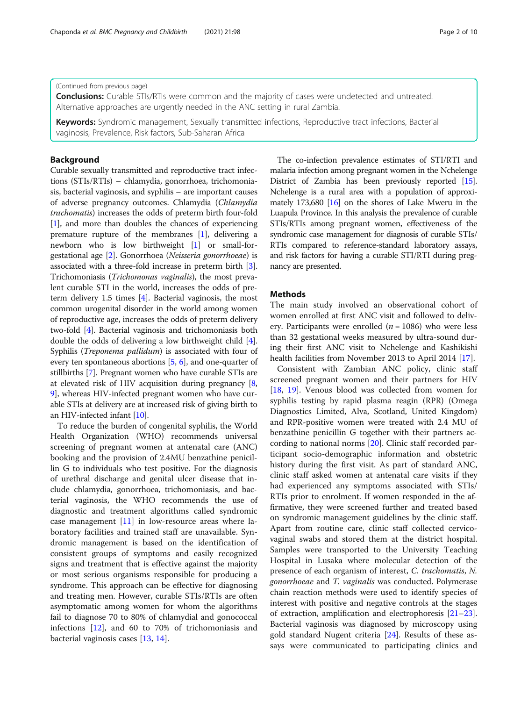# (Continued from previous page)

**Conclusions:** Curable STIs/RTIs were common and the majority of cases were undetected and untreated. Alternative approaches are urgently needed in the ANC setting in rural Zambia.

Keywords: Syndromic management, Sexually transmitted infections, Reproductive tract infections, Bacterial vaginosis, Prevalence, Risk factors, Sub-Saharan Africa

# Background

Curable sexually transmitted and reproductive tract infections (STIs/RTIs) – chlamydia, gonorrhoea, trichomoniasis, bacterial vaginosis, and syphilis – are important causes of adverse pregnancy outcomes. Chlamydia (Chlamydia trachomatis) increases the odds of preterm birth four-fold [[1\]](#page-8-0), and more than doubles the chances of experiencing premature rupture of the membranes [\[1\]](#page-8-0), delivering a newborn who is low birthweight [\[1](#page-8-0)] or small-forgestational age [\[2](#page-8-0)]. Gonorrhoea (Neisseria gonorrhoeae) is associated with a three-fold increase in preterm birth [[3](#page-8-0)]. Trichomoniasis (Trichomonas vaginalis), the most prevalent curable STI in the world, increases the odds of preterm delivery 1.5 times [\[4](#page-8-0)]. Bacterial vaginosis, the most common urogenital disorder in the world among women of reproductive age, increases the odds of preterm delivery two-fold [[4](#page-8-0)]. Bacterial vaginosis and trichomoniasis both double the odds of delivering a low birthweight child [[4](#page-8-0)]. Syphilis (Treponema pallidum) is associated with four of every ten spontaneous abortions [\[5](#page-8-0), [6\]](#page-8-0), and one-quarter of stillbirths [[7\]](#page-8-0). Pregnant women who have curable STIs are at elevated risk of HIV acquisition during pregnancy [[8](#page-8-0), [9\]](#page-8-0), whereas HIV-infected pregnant women who have curable STIs at delivery are at increased risk of giving birth to an HIV-infected infant [\[10\]](#page-8-0).

To reduce the burden of congenital syphilis, the World Health Organization (WHO) recommends universal screening of pregnant women at antenatal care (ANC) booking and the provision of 2.4MU benzathine penicillin G to individuals who test positive. For the diagnosis of urethral discharge and genital ulcer disease that include chlamydia, gonorrhoea, trichomoniasis, and bacterial vaginosis, the WHO recommends the use of diagnostic and treatment algorithms called syndromic case management [\[11](#page-8-0)] in low-resource areas where laboratory facilities and trained staff are unavailable. Syndromic management is based on the identification of consistent groups of symptoms and easily recognized signs and treatment that is effective against the majority or most serious organisms responsible for producing a syndrome. This approach can be effective for diagnosing and treating men. However, curable STIs/RTIs are often asymptomatic among women for whom the algorithms fail to diagnose 70 to 80% of chlamydial and gonococcal infections [[12\]](#page-8-0), and 60 to 70% of trichomoniasis and bacterial vaginosis cases [[13,](#page-8-0) [14\]](#page-8-0).

The co-infection prevalence estimates of STI/RTI and malaria infection among pregnant women in the Nchelenge District of Zambia has been previously reported [\[15](#page-8-0)]. Nchelenge is a rural area with a population of approximately 173,680 [\[16](#page-8-0)] on the shores of Lake Mweru in the Luapula Province. In this analysis the prevalence of curable STIs/RTIs among pregnant women, effectiveness of the syndromic case management for diagnosis of curable STIs/ RTIs compared to reference-standard laboratory assays, and risk factors for having a curable STI/RTI during pregnancy are presented.

# **Methods**

The main study involved an observational cohort of women enrolled at first ANC visit and followed to delivery. Participants were enrolled ( $n = 1086$ ) who were less than 32 gestational weeks measured by ultra-sound during their first ANC visit to Nchelenge and Kashikishi health facilities from November 2013 to April 2014 [[17\]](#page-9-0).

Consistent with Zambian ANC policy, clinic staff screened pregnant women and their partners for HIV [[18,](#page-9-0) [19](#page-9-0)]. Venous blood was collected from women for syphilis testing by rapid plasma reagin (RPR) (Omega Diagnostics Limited, Alva, Scotland, United Kingdom) and RPR-positive women were treated with 2.4 MU of benzathine penicillin G together with their partners according to national norms [[20\]](#page-9-0). Clinic staff recorded participant socio-demographic information and obstetric history during the first visit. As part of standard ANC, clinic staff asked women at antenatal care visits if they had experienced any symptoms associated with STIs/ RTIs prior to enrolment. If women responded in the affirmative, they were screened further and treated based on syndromic management guidelines by the clinic staff. Apart from routine care, clinic staff collected cervicovaginal swabs and stored them at the district hospital. Samples were transported to the University Teaching Hospital in Lusaka where molecular detection of the presence of each organism of interest, C. trachomatis, N. gonorrhoeae and T. vaginalis was conducted. Polymerase chain reaction methods were used to identify species of interest with positive and negative controls at the stages of extraction, amplification and electrophoresis [[21](#page-9-0)–[23](#page-9-0)]. Bacterial vaginosis was diagnosed by microscopy using gold standard Nugent criteria [[24\]](#page-9-0). Results of these assays were communicated to participating clinics and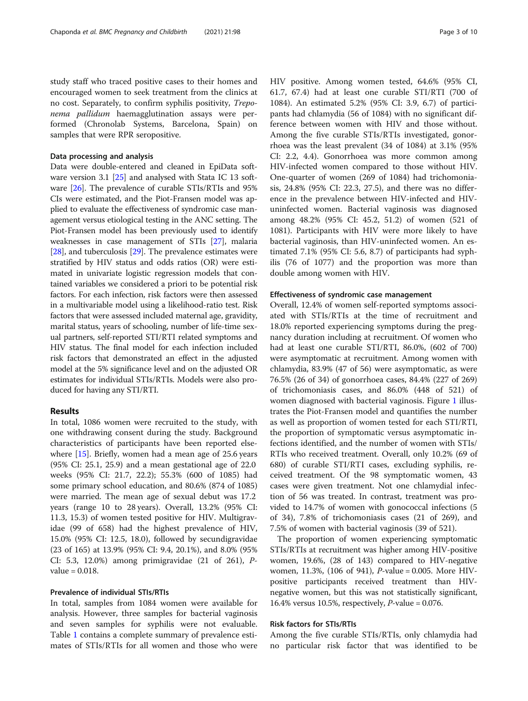study staff who traced positive cases to their homes and encouraged women to seek treatment from the clinics at no cost. Separately, to confirm syphilis positivity, Treponema pallidum haemagglutination assays were performed (Chronolab Systems, Barcelona, Spain) on samples that were RPR seropositive.

# Data processing and analysis

Data were double-entered and cleaned in EpiData software version 3.1 [[25](#page-9-0)] and analysed with Stata IC 13 software [\[26](#page-9-0)]. The prevalence of curable STIs/RTIs and 95% CIs were estimated, and the Piot-Fransen model was applied to evaluate the effectiveness of syndromic case management versus etiological testing in the ANC setting. The Piot-Fransen model has been previously used to identify weaknesses in case management of STIs [[27](#page-9-0)], malaria [[28](#page-9-0)], and tuberculosis [\[29](#page-9-0)]. The prevalence estimates were stratified by HIV status and odds ratios (OR) were estimated in univariate logistic regression models that contained variables we considered a priori to be potential risk factors. For each infection, risk factors were then assessed in a multivariable model using a likelihood-ratio test. Risk factors that were assessed included maternal age, gravidity, marital status, years of schooling, number of life-time sexual partners, self-reported STI/RTI related symptoms and HIV status. The final model for each infection included risk factors that demonstrated an effect in the adjusted model at the 5% significance level and on the adjusted OR estimates for individual STIs/RTIs. Models were also produced for having any STI/RTI.

# Results

In total, 1086 women were recruited to the study, with one withdrawing consent during the study. Background characteristics of participants have been reported elsewhere [[15\]](#page-8-0). Briefly, women had a mean age of 25.6 years (95% CI: 25.1, 25.9) and a mean gestational age of 22.0 weeks (95% CI: 21.7, 22.2); 55.3% (600 of 1085) had some primary school education, and 80.6% (874 of 1085) were married. The mean age of sexual debut was 17.2 years (range 10 to 28 years). Overall, 13.2% (95% CI: 11.3, 15.3) of women tested positive for HIV. Multigravidae (99 of 658) had the highest prevalence of HIV, 15.0% (95% CI: 12.5, 18.0), followed by secundigravidae (23 of 165) at 13.9% (95% CI: 9.4, 20.1%), and 8.0% (95% CI: 5.3, 12.0%) among primigravidae (21 of 261), Pvalue  $= 0.018$ .

# Prevalence of individual STIs/RTIs

In total, samples from 1084 women were available for analysis. However, three samples for bacterial vaginosis and seven samples for syphilis were not evaluable. Table [1](#page-3-0) contains a complete summary of prevalence estimates of STIs/RTIs for all women and those who were HIV positive. Among women tested, 64.6% (95% CI, 61.7, 67.4) had at least one curable STI/RTI (700 of 1084). An estimated 5.2% (95% CI: 3.9, 6.7) of participants had chlamydia (56 of 1084) with no significant difference between women with HIV and those without. Among the five curable STIs/RTIs investigated, gonorrhoea was the least prevalent (34 of 1084) at 3.1% (95% CI: 2.2, 4.4). Gonorrhoea was more common among HIV-infected women compared to those without HIV. One-quarter of women (269 of 1084) had trichomoniasis, 24.8% (95% CI: 22.3, 27.5), and there was no difference in the prevalence between HIV-infected and HIVuninfected women. Bacterial vaginosis was diagnosed among 48.2% (95% CI: 45.2, 51.2) of women (521 of 1081). Participants with HIV were more likely to have bacterial vaginosis, than HIV-uninfected women. An estimated 7.1% (95% CI: 5.6, 8.7) of participants had syphilis (76 of 1077) and the proportion was more than double among women with HIV.

## Effectiveness of syndromic case management

Overall, 12.4% of women self-reported symptoms associated with STIs/RTIs at the time of recruitment and 18.0% reported experiencing symptoms during the pregnancy duration including at recruitment. Of women who had at least one curable STI/RTI, 86.0%, (602 of 700) were asymptomatic at recruitment. Among women with chlamydia, 83.9% (47 of 56) were asymptomatic, as were 76.5% (26 of 34) of gonorrhoea cases, 84.4% (227 of 269) of trichomoniasis cases, and 86.0% (448 of 521) of women diagnosed with bacterial vaginosis. Figure [1](#page-4-0) illustrates the Piot-Fransen model and quantifies the number as well as proportion of women tested for each STI/RTI, the proportion of symptomatic versus asymptomatic infections identified, and the number of women with STIs/ RTIs who received treatment. Overall, only 10.2% (69 of 680) of curable STI/RTI cases, excluding syphilis, received treatment. Of the 98 symptomatic women, 43 cases were given treatment. Not one chlamydial infection of 56 was treated. In contrast, treatment was provided to 14.7% of women with gonococcal infections (5 of 34), 7.8% of trichomoniasis cases (21 of 269), and 7.5% of women with bacterial vaginosis (39 of 521).

The proportion of women experiencing symptomatic STIs/RTIs at recruitment was higher among HIV-positive women, 19.6%, (28 of 143) compared to HIV-negative women, 11.3%, (106 of 941), P-value = 0.005. More HIVpositive participants received treatment than HIVnegative women, but this was not statistically significant, 16.4% versus 10.5%, respectively, P-value = 0.076.

# Risk factors for STIs/RTIs

Among the five curable STIs/RTIs, only chlamydia had no particular risk factor that was identified to be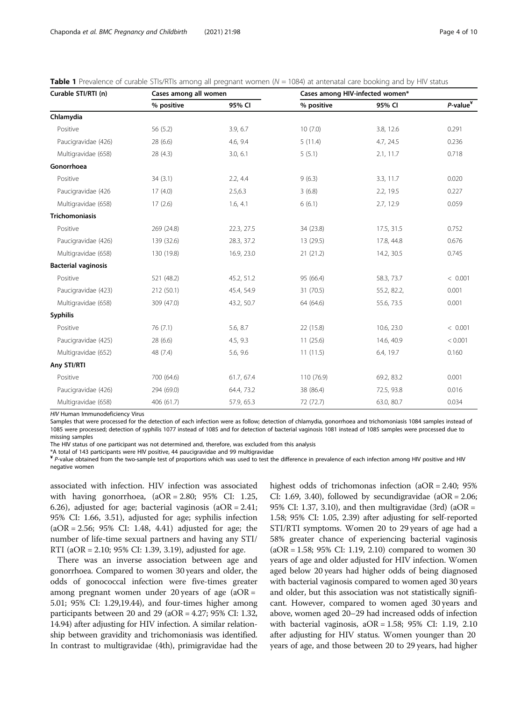| Curable STI/RTI (n)        | Cases among all women |            | Cases among HIV-infected women* |             |                                                 |  |
|----------------------------|-----------------------|------------|---------------------------------|-------------|-------------------------------------------------|--|
|                            | % positive            | 95% CI     | % positive                      | 95% CI      | $P$ -value <sup><math>\overline{Y}</math></sup> |  |
| Chlamydia                  |                       |            |                                 |             |                                                 |  |
| Positive                   | 56 (5.2)              | 3.9, 6.7   | 10(7.0)                         | 3.8, 12.6   | 0.291                                           |  |
| Paucigravidae (426)        | 28(6.6)               | 4.6, 9.4   | 5(11.4)                         | 4.7, 24.5   | 0.236                                           |  |
| Multigravidae (658)        | 28(4.3)               | 3.0, 6.1   | 5(5.1)                          | 2.1, 11.7   | 0.718                                           |  |
| Gonorrhoea                 |                       |            |                                 |             |                                                 |  |
| Positive                   | 34(3.1)               | 2.2, 4.4   | 9(6.3)                          | 3.3, 11.7   | 0.020                                           |  |
| Paucigravidae (426         | 17(4.0)               | 2.5,6.3    | 3(6.8)                          | 2.2, 19.5   | 0.227                                           |  |
| Multigravidae (658)        | 17(2.6)               | 1.6, 4.1   | 6(6.1)                          | 2.7, 12.9   | 0.059                                           |  |
| <b>Trichomoniasis</b>      |                       |            |                                 |             |                                                 |  |
| Positive                   | 269 (24.8)            | 22.3, 27.5 | 34 (23.8)                       | 17.5, 31.5  | 0.752                                           |  |
| Paucigravidae (426)        | 139 (32.6)            | 28.3, 37.2 | 13 (29.5)                       | 17.8, 44.8  | 0.676                                           |  |
| Multigravidae (658)        | 130 (19.8)            | 16.9, 23.0 | 21(21.2)                        | 14.2, 30.5  | 0.745                                           |  |
| <b>Bacterial vaginosis</b> |                       |            |                                 |             |                                                 |  |
| Positive                   | 521 (48.2)            | 45.2, 51.2 | 95 (66.4)                       | 58.3, 73.7  | < 0.001                                         |  |
| Paucigravidae (423)        | 212 (50.1)            | 45.4, 54.9 | 31 (70.5)                       | 55.2, 82.2, | 0.001                                           |  |
| Multigravidae (658)        | 309 (47.0)            | 43.2, 50.7 | 64 (64.6)                       | 55.6, 73.5  | 0.001                                           |  |
| <b>Syphilis</b>            |                       |            |                                 |             |                                                 |  |
| Positive                   | 76 (7.1)              | 5.6, 8.7   | 22 (15.8)                       | 10.6, 23.0  | < 0.001                                         |  |
| Paucigravidae (425)        | 28 (6.6)              | 4.5, 9.3   | 11(25.6)                        | 14.6, 40.9  | < 0.001                                         |  |
| Multigravidae (652)        | 48 (7.4)              | 5.6, 9.6   | 11(11.5)                        | 6.4, 19.7   | 0.160                                           |  |
| Any STI/RTI                |                       |            |                                 |             |                                                 |  |
| Positive                   | 700 (64.6)            | 61.7, 67.4 | 110 (76.9)                      | 69.2, 83.2  | 0.001                                           |  |
| Paucigravidae (426)        | 294 (69.0)            | 64.4, 73.2 | 38 (86.4)                       | 72.5, 93.8  | 0.016                                           |  |
| Multigravidae (658)        | 406 (61.7)            | 57.9, 65.3 | 72 (72.7)                       | 63.0, 80.7  | 0.034                                           |  |

<span id="page-3-0"></span>**Table 1** Prevalence of curable STIs/RTIs among all pregnant women ( $N = 1084$ ) at antenatal care booking and by HIV status

HIV Human Immunodeficiency Virus

Samples that were processed for the detection of each infection were as follow; detection of chlamydia, gonorrhoea and trichomoniasis 1084 samples instead of 1085 were processed; detection of syphilis 1077 instead of 1085 and for detection of bacterial vaginosis 1081 instead of 1085 samples were processed due to missing samples

The HIV status of one participant was not determined and, therefore, was excluded from this analysis

\*A total of 143 participants were HIV positive, 44 paucigravidae and 99 multigravidae

¥ P-value obtained from the two-sample test of proportions which was used to test the difference in prevalence of each infection among HIV positive and HIV negative women

associated with infection. HIV infection was associated with having gonorrhoea, (aOR = 2.80; 95% CI: 1.25, 6.26), adjusted for age; bacterial vaginosis  $(aOR = 2.41;$ 95% CI: 1.66, 3.51), adjusted for age; syphilis infection  $(aOR = 2.56; 95\% \text{ CI: } 1.48, 4.41)$  adjusted for age; the number of life-time sexual partners and having any STI/ RTI (aOR = 2.10; 95% CI: 1.39, 3.19), adjusted for age.

There was an inverse association between age and gonorrhoea. Compared to women 30 years and older, the odds of gonococcal infection were five-times greater among pregnant women under 20 years of age  $(aOR =$ 5.01; 95% CI: 1.29,19.44), and four-times higher among participants between 20 and 29 (aOR =  $4.27$ ; 95% CI: 1.32, 14.94) after adjusting for HIV infection. A similar relationship between gravidity and trichomoniasis was identified. In contrast to multigravidae (4th), primigravidae had the highest odds of trichomonas infection (aOR = 2.40; 95%) CI: 1.69, 3.40), followed by secundigravidae (aOR =  $2.06$ ; 95% CI: 1.37, 3.10), and then multigravidae (3rd) (aOR = 1.58; 95% CI: 1.05, 2.39) after adjusting for self-reported STI/RTI symptoms. Women 20 to 29 years of age had a 58% greater chance of experiencing bacterial vaginosis (aOR = 1.58; 95% CI: 1.19, 2.10) compared to women 30 years of age and older adjusted for HIV infection. Women aged below 20 years had higher odds of being diagnosed with bacterial vaginosis compared to women aged 30 years and older, but this association was not statistically significant. However, compared to women aged 30 years and above, women aged 20–29 had increased odds of infection with bacterial vaginosis, aOR = 1.58; 95% CI: 1.19, 2.10 after adjusting for HIV status. Women younger than 20 years of age, and those between 20 to 29 years, had higher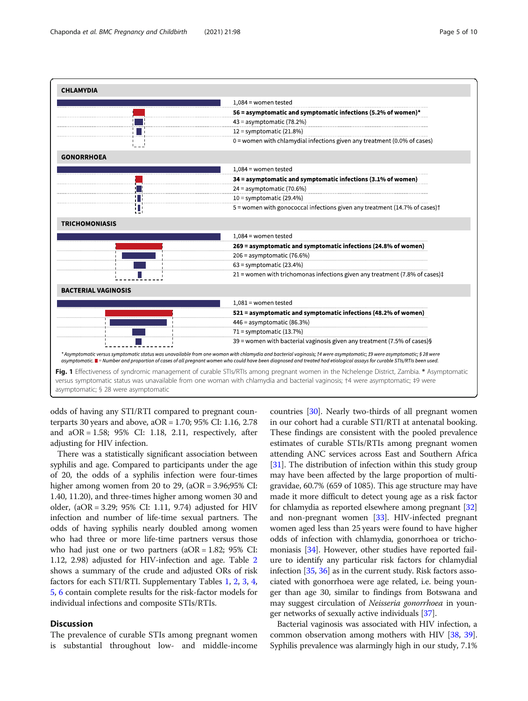<span id="page-4-0"></span>

odds of having any STI/RTI compared to pregnant counterparts 30 years and above, aOR = 1.70; 95% CI: 1.16, 2.78 and aOR = 1.58; 95% CI: 1.18, 2.11, respectively, after adjusting for HIV infection.

There was a statistically significant association between syphilis and age. Compared to participants under the age of 20, the odds of a syphilis infection were four-times higher among women from 20 to 29, (aOR = 3.96;95% CI: 1.40, 11.20), and three-times higher among women 30 and older, (aOR = 3.29; 95% CI: 1.11, 9.74) adjusted for HIV infection and number of life-time sexual partners. The odds of having syphilis nearly doubled among women who had three or more life-time partners versus those who had just one or two partners  $(aOR = 1.82; 95\% \text{ CI:})$ 1.12, 2.98) adjusted for HIV-infection and age. Table [2](#page-5-0) shows a summary of the crude and adjusted ORs of risk factors for each STI/RTI. Supplementary Tables [1,](#page-7-0) [2](#page-7-0), [3](#page-7-0), [4](#page-7-0), [5,](#page-7-0) [6](#page-7-0) contain complete results for the risk-factor models for individual infections and composite STIs/RTIs.

# **Discussion**

The prevalence of curable STIs among pregnant women is substantial throughout low- and middle-income

countries [\[30\]](#page-9-0). Nearly two-thirds of all pregnant women in our cohort had a curable STI/RTI at antenatal booking. These findings are consistent with the pooled prevalence estimates of curable STIs/RTIs among pregnant women attending ANC services across East and Southern Africa [[31](#page-9-0)]. The distribution of infection within this study group may have been affected by the large proportion of multigravidae, 60.7% (659 of 1085). This age structure may have made it more difficult to detect young age as a risk factor for chlamydia as reported elsewhere among pregnant [[32](#page-9-0)] and non-pregnant women [\[33\]](#page-9-0). HIV-infected pregnant women aged less than 25 years were found to have higher odds of infection with chlamydia, gonorrhoea or trichomoniasis [[34](#page-9-0)]. However, other studies have reported failure to identify any particular risk factors for chlamydial infection [\[35](#page-9-0), [36](#page-9-0)] as in the current study. Risk factors associated with gonorrhoea were age related, i.e. being younger than age 30, similar to findings from Botswana and may suggest circulation of Neisseria gonorrhoea in younger networks of sexually active individuals [\[37\]](#page-9-0).

Bacterial vaginosis was associated with HIV infection, a common observation among mothers with HIV [\[38,](#page-9-0) [39](#page-9-0)]. Syphilis prevalence was alarmingly high in our study, 7.1%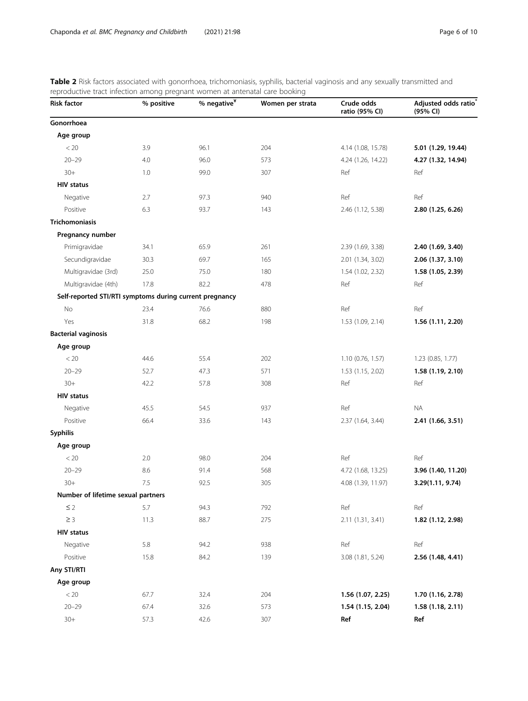<span id="page-5-0"></span>

| Table 2 Risk factors associated with gonorrhoea, trichomoniasis, syphilis, bacterial vaginosis and any sexually transmitted and |  |  |  |
|---------------------------------------------------------------------------------------------------------------------------------|--|--|--|
| reproductive tract infection among pregnant women at antenatal care booking                                                     |  |  |  |

| <b>Risk factor</b>                                      | eaon annong pregnant<br>% positive | $%$ negative $*$ | Women per strata | Crude odds<br>ratio (95% CI) | Adjusted odds ratio<br>(95% CI) |
|---------------------------------------------------------|------------------------------------|------------------|------------------|------------------------------|---------------------------------|
| Gonorrhoea                                              |                                    |                  |                  |                              |                                 |
| Age group                                               |                                    |                  |                  |                              |                                 |
| < 20                                                    | 3.9                                | 96.1             | 204              | 4.14 (1.08, 15.78)           | 5.01 (1.29, 19.44)              |
| $20 - 29$                                               | 4.0                                | 96.0             | 573              | 4.24 (1.26, 14.22)           | 4.27 (1.32, 14.94)              |
| $30+$                                                   | 1.0                                | 99.0             | 307              | Ref                          | Ref                             |
| <b>HIV status</b>                                       |                                    |                  |                  |                              |                                 |
| Negative                                                | 2.7                                | 97.3             | 940              | Ref                          | Ref                             |
| Positive                                                | 6.3                                | 93.7             | 143              | 2.46 (1.12, 5.38)            | 2.80 (1.25, 6.26)               |
| <b>Trichomoniasis</b>                                   |                                    |                  |                  |                              |                                 |
| Pregnancy number                                        |                                    |                  |                  |                              |                                 |
| Primigravidae                                           | 34.1                               | 65.9             | 261              | 2.39 (1.69, 3.38)            | 2.40 (1.69, 3.40)               |
| Secundigravidae                                         | 30.3                               | 69.7             | 165              | 2.01 (1.34, 3.02)            | 2.06 (1.37, 3.10)               |
| Multigravidae (3rd)                                     | 25.0                               | 75.0             | 180              | 1.54 (1.02, 2.32)            | 1.58 (1.05, 2.39)               |
| Multigravidae (4th)                                     | 17.8                               | 82.2             | 478              | Ref                          | Ref                             |
| Self-reported STI/RTI symptoms during current pregnancy |                                    |                  |                  |                              |                                 |
| No                                                      | 23.4                               | 76.6             | 880              | Ref                          | Ref                             |
| Yes                                                     | 31.8                               | 68.2             | 198              | 1.53 (1.09, 2.14)            | 1.56 (1.11, 2.20)               |
| <b>Bacterial vaginosis</b>                              |                                    |                  |                  |                              |                                 |
| Age group                                               |                                    |                  |                  |                              |                                 |
| < 20                                                    | 44.6                               | 55.4             | 202              | $1.10$ (0.76, 1.57)          | 1.23 (0.85, 1.77)               |
| $20 - 29$                                               | 52.7                               | 47.3             | 571              | 1.53 (1.15, 2.02)            | 1.58 (1.19, 2.10)               |
| $30+$                                                   | 42.2                               | 57.8             | 308              | Ref                          | Ref                             |
| <b>HIV status</b>                                       |                                    |                  |                  |                              |                                 |
| Negative                                                | 45.5                               | 54.5             | 937              | Ref                          | <b>NA</b>                       |
| Positive                                                | 66.4                               | 33.6             | 143              | 2.37 (1.64, 3.44)            | 2.41 (1.66, 3.51)               |
| <b>Syphilis</b>                                         |                                    |                  |                  |                              |                                 |
| Age group                                               |                                    |                  |                  |                              |                                 |
| $< 20$                                                  | 2.0                                | 98.0             | 204              | Ref                          | Ref                             |
| $20 - 29$                                               | 8.6                                | 91.4             | 568              | 4.72 (1.68, 13.25)           | 3.96 (1.40, 11.20)              |
| $30+$                                                   | 7.5                                | 92.5             | 305              | 4.08 (1.39, 11.97)           | 3.29(1.11, 9.74)                |
| Number of lifetime sexual partners                      |                                    |                  |                  |                              |                                 |
| $\leq$ 2                                                | 5.7                                | 94.3             | 792              | Ref                          | Ref                             |
| $\geq 3$                                                | 11.3                               | 88.7             | 275              | 2.11 (1.31, 3.41)            | 1.82 (1.12, 2.98)               |
| <b>HIV status</b>                                       |                                    |                  |                  |                              |                                 |
| Negative                                                | 5.8                                | 94.2             | 938              | Ref                          | Ref                             |
| Positive                                                | 15.8                               | 84.2             | 139              | 3.08 (1.81, 5.24)            | 2.56 (1.48, 4.41)               |
| Any STI/RTI                                             |                                    |                  |                  |                              |                                 |
| Age group                                               |                                    |                  |                  |                              |                                 |
| $< 20\,$                                                | 67.7                               | 32.4             | 204              | 1.56 (1.07, 2.25)            | 1.70 (1.16, 2.78)               |
| $20 - 29$                                               | 67.4                               | 32.6             | 573              | 1.54 (1.15, 2.04)            | 1.58 (1.18, 2.11)               |
| $30+$                                                   | 57.3                               | 42.6             | 307              | Ref                          | Ref                             |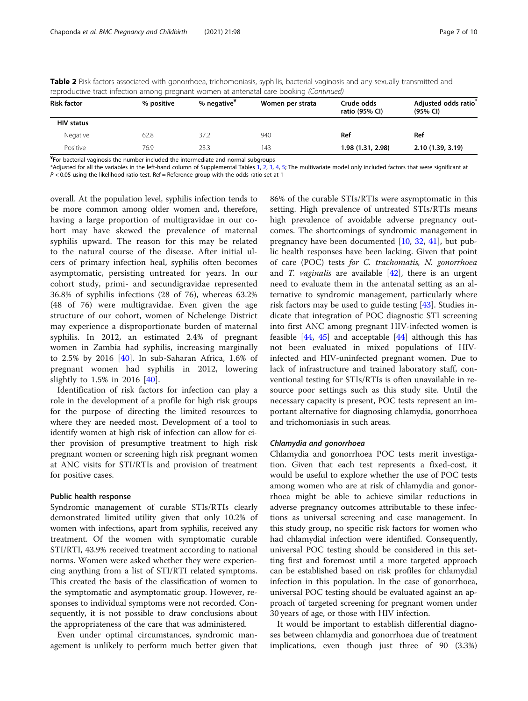| <b>Risk factor</b>       | % positive | % negative <sup>*</sup> | Women per strata | Crude odds<br>ratio (95% CI) | Adjusted odds ratio <sup>®</sup><br>(95% CI) |
|--------------------------|------------|-------------------------|------------------|------------------------------|----------------------------------------------|
| <b>HIV status</b>        |            |                         |                  |                              |                                              |
| Negative                 | 62.8       | 37.2                    | 940              | Ref                          | Ref                                          |
| Positive                 | 76.9       | 23.3                    | 143              | 1.98 (1.31, 2.98)            | 2.10 (1.39, 3.19)                            |
| $\overline{\phantom{a}}$ |            |                         |                  |                              |                                              |

Table 2 Risk factors associated with gonorrhoea, trichomoniasis, syphilis, bacterial vaginosis and any sexually transmitted and reproductive tract infection among pregnant women at antenatal care booking (Continued)

¥ For bacterial vaginosis the number included the intermediate and normal subgroups

\*Adjusted for all the variables in the left-hand column of Supplemental Tables [1](#page-7-0), [2,](#page-7-0) [3,](#page-7-0) [4,](#page-7-0) [5;](#page-7-0) The multivariate model only included factors that were significant at  $P < 0.05$  using the likelihood ratio test. Ref = Reference group with the odds ratio set at 1

overall. At the population level, syphilis infection tends to be more common among older women and, therefore, having a large proportion of multigravidae in our cohort may have skewed the prevalence of maternal syphilis upward. The reason for this may be related to the natural course of the disease. After initial ulcers of primary infection heal, syphilis often becomes asymptomatic, persisting untreated for years. In our cohort study, primi- and secundigravidae represented 36.8% of syphilis infections (28 of 76), whereas 63.2% (48 of 76) were multigravidae. Even given the age structure of our cohort, women of Nchelenge District may experience a disproportionate burden of maternal syphilis. In 2012, an estimated 2.4% of pregnant women in Zambia had syphilis, increasing marginally to 2.5% by 2016 [\[40](#page-9-0)]. In sub-Saharan Africa, 1.6% of pregnant women had syphilis in 2012, lowering slightly to 1.5% in 2016 [\[40](#page-9-0)].

Identification of risk factors for infection can play a role in the development of a profile for high risk groups for the purpose of directing the limited resources to where they are needed most. Development of a tool to identify women at high risk of infection can allow for either provision of presumptive treatment to high risk pregnant women or screening high risk pregnant women at ANC visits for STI/RTIs and provision of treatment for positive cases.

## Public health response

Syndromic management of curable STIs/RTIs clearly demonstrated limited utility given that only 10.2% of women with infections, apart from syphilis, received any treatment. Of the women with symptomatic curable STI/RTI, 43.9% received treatment according to national norms. Women were asked whether they were experiencing anything from a list of STI/RTI related symptoms. This created the basis of the classification of women to the symptomatic and asymptomatic group. However, responses to individual symptoms were not recorded. Consequently, it is not possible to draw conclusions about the appropriateness of the care that was administered.

Even under optimal circumstances, syndromic management is unlikely to perform much better given that 86% of the curable STIs/RTIs were asymptomatic in this setting. High prevalence of untreated STIs/RTIs means high prevalence of avoidable adverse pregnancy outcomes. The shortcomings of syndromic management in pregnancy have been documented [[10,](#page-8-0) [32,](#page-9-0) [41](#page-9-0)], but public health responses have been lacking. Given that point of care (POC) tests for C. trachomatis, N. gonorrhoea and *T. vaginalis* are available  $[42]$  $[42]$  $[42]$ , there is an urgent need to evaluate them in the antenatal setting as an alternative to syndromic management, particularly where risk factors may be used to guide testing  $[43]$  $[43]$  $[43]$ . Studies indicate that integration of POC diagnostic STI screening into first ANC among pregnant HIV-infected women is feasible  $[44, 45]$  $[44, 45]$  $[44, 45]$  $[44, 45]$  $[44, 45]$  and acceptable  $[44]$  although this has not been evaluated in mixed populations of HIVinfected and HIV-uninfected pregnant women. Due to lack of infrastructure and trained laboratory staff, conventional testing for STIs/RTIs is often unavailable in resource poor settings such as this study site. Until the necessary capacity is present, POC tests represent an important alternative for diagnosing chlamydia, gonorrhoea and trichomoniasis in such areas.

# Chlamydia and gonorrhoea

Chlamydia and gonorrhoea POC tests merit investigation. Given that each test represents a fixed-cost, it would be useful to explore whether the use of POC tests among women who are at risk of chlamydia and gonorrhoea might be able to achieve similar reductions in adverse pregnancy outcomes attributable to these infections as universal screening and case management. In this study group, no specific risk factors for women who had chlamydial infection were identified. Consequently, universal POC testing should be considered in this setting first and foremost until a more targeted approach can be established based on risk profiles for chlamydial infection in this population. In the case of gonorrhoea, universal POC testing should be evaluated against an approach of targeted screening for pregnant women under 30 years of age, or those with HIV infection.

It would be important to establish differential diagnoses between chlamydia and gonorrhoea due of treatment implications, even though just three of 90 (3.3%)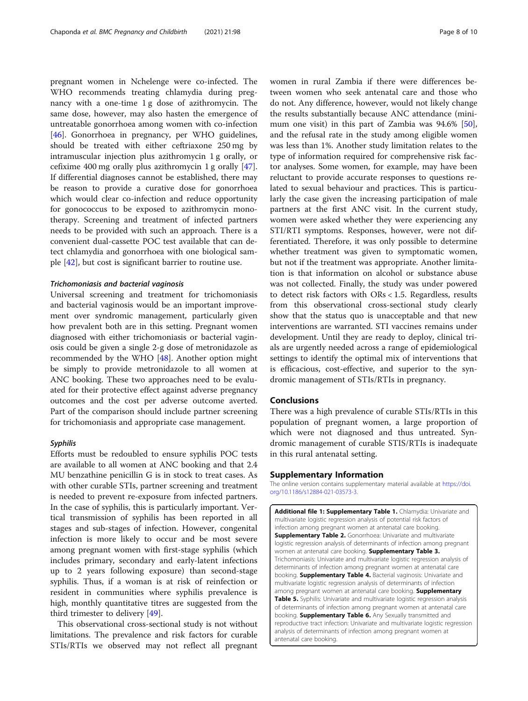<span id="page-7-0"></span>pregnant women in Nchelenge were co-infected. The WHO recommends treating chlamydia during pregnancy with a one-time 1 g dose of azithromycin. The same dose, however, may also hasten the emergence of untreatable gonorrhoea among women with co-infection [[46\]](#page-9-0). Gonorrhoea in pregnancy, per WHO guidelines, should be treated with either ceftriaxone 250 mg by intramuscular injection plus azithromycin 1 g orally, or cefixime 400 mg orally plus azithromycin 1 g orally [\[47](#page-9-0)]. If differential diagnoses cannot be established, there may be reason to provide a curative dose for gonorrhoea which would clear co-infection and reduce opportunity for gonococcus to be exposed to azithromycin monotherapy. Screening and treatment of infected partners needs to be provided with such an approach. There is a convenient dual-cassette POC test available that can detect chlamydia and gonorrhoea with one biological sample [[42\]](#page-9-0), but cost is significant barrier to routine use.

#### Trichomoniasis and bacterial vaginosis

Universal screening and treatment for trichomoniasis and bacterial vaginosis would be an important improvement over syndromic management, particularly given how prevalent both are in this setting. Pregnant women diagnosed with either trichomoniasis or bacterial vaginosis could be given a single 2-g dose of metronidazole as recommended by the WHO [\[48](#page-9-0)]. Another option might be simply to provide metronidazole to all women at ANC booking. These two approaches need to be evaluated for their protective effect against adverse pregnancy outcomes and the cost per adverse outcome averted. Part of the comparison should include partner screening for trichomoniasis and appropriate case management.

#### Syphilis

Efforts must be redoubled to ensure syphilis POC tests are available to all women at ANC booking and that 2.4 MU benzathine penicillin G is in stock to treat cases. As with other curable STIs, partner screening and treatment is needed to prevent re-exposure from infected partners. In the case of syphilis, this is particularly important. Vertical transmission of syphilis has been reported in all stages and sub-stages of infection. However, congenital infection is more likely to occur and be most severe among pregnant women with first-stage syphilis (which includes primary, secondary and early-latent infections up to 2 years following exposure) than second-stage syphilis. Thus, if a woman is at risk of reinfection or resident in communities where syphilis prevalence is high, monthly quantitative titres are suggested from the third trimester to delivery [[49](#page-9-0)].

This observational cross-sectional study is not without limitations. The prevalence and risk factors for curable STIs/RTIs we observed may not reflect all pregnant

women in rural Zambia if there were differences between women who seek antenatal care and those who do not. Any difference, however, would not likely change the results substantially because ANC attendance (minimum one visit) in this part of Zambia was 94.6% [\[50](#page-9-0)], and the refusal rate in the study among eligible women was less than 1%. Another study limitation relates to the type of information required for comprehensive risk factor analyses. Some women, for example, may have been reluctant to provide accurate responses to questions related to sexual behaviour and practices. This is particularly the case given the increasing participation of male partners at the first ANC visit. In the current study, women were asked whether they were experiencing any STI/RTI symptoms. Responses, however, were not differentiated. Therefore, it was only possible to determine whether treatment was given to symptomatic women, but not if the treatment was appropriate. Another limitation is that information on alcohol or substance abuse was not collected. Finally, the study was under powered to detect risk factors with ORs < 1.5. Regardless, results from this observational cross-sectional study clearly show that the status quo is unacceptable and that new interventions are warranted. STI vaccines remains under development. Until they are ready to deploy, clinical trials are urgently needed across a range of epidemiological settings to identify the optimal mix of interventions that is efficacious, cost-effective, and superior to the syndromic management of STIs/RTIs in pregnancy.

# Conclusions

There was a high prevalence of curable STIs/RTIs in this population of pregnant women, a large proportion of which were not diagnosed and thus untreated. Syndromic management of curable STIS/RTIs is inadequate in this rural antenatal setting.

# Supplementary Information

The online version contains supplementary material available at [https://doi.](https://doi.org/10.1186/s12884-021-03573-3) [org/10.1186/s12884-021-03573-3.](https://doi.org/10.1186/s12884-021-03573-3)

Additional file 1: Supplementary Table 1. Chlamydia: Univariate and multivariate logistic regression analysis of potential risk factors of infection among pregnant women at antenatal care booking. **Supplementary Table 2.** Gonorrhoea: Univariate and multivariate logistic regression analysis of determinants of infection among pregnant women at antenatal care booking. Supplementary Table 3. Trichomoniasis: Univariate and multivariate logistic regression analysis of determinants of infection among pregnant women at antenatal care booking. Supplementary Table 4. Bacterial vaginosis: Univariate and multivariate logistic regression analysis of determinants of infection among pregnant women at antenatal care booking. Supplementary Table 5. Syphilis: Univariate and multivariate logistic regression analysis of determinants of infection among pregnant women at antenatal care booking. **Supplementary Table 6.** Any Sexually transmitted and reproductive tract infection: Univariate and multivariate logistic regression analysis of determinants of infection among pregnant women at antenatal care booking.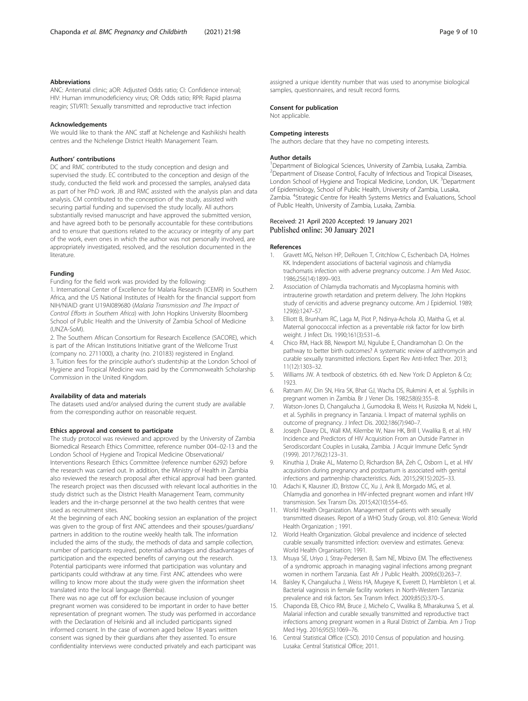#### <span id="page-8-0"></span>Abbreviations

ANC: Antenatal clinic; aOR: Adjusted Odds ratio; CI: Confidence interval; HIV: Human immunodeficiency virus; OR: Odds ratio; RPR: Rapid plasma reagin; STI/RTI: Sexually transmitted and reproductive tract infection

#### Acknowledgements

We would like to thank the ANC staff at Nchelenge and Kashikishi health centres and the Nchelenge District Health Management Team.

#### Authors' contributions

DC and RMC contributed to the study conception and design and supervised the study. EC contributed to the conception and design of the study, conducted the field work and processed the samples, analysed data as part of her PhD work. JB and RMC assisted with the analysis plan and data analysis. CM contributed to the conception of the study, assisted with securing partial funding and supervised the study locally. All authors substantially revised manuscript and have approved the submitted version, and have agreed both to be personally accountable for these contributions and to ensure that questions related to the accuracy or integrity of any part of the work, even ones in which the author was not personally involved, are appropriately investigated, resolved, and the resolution documented in the literature.

#### Funding

Funding for the field work was provided by the following:

1. International Center of Excellence for Malaria Research (ICEMR) in Southern Africa, and the US National Institutes of Health for the financial support from NIH/NIAID grant U19AI089680 (Malaria Transmission and The Impact of Control Efforts in Southern Africa) with John Hopkins University Bloomberg School of Public Health and the University of Zambia School of Medicine (UNZA-SoM).

2. The Southern African Consortium for Research Excellence (SACORE), which is part of the African Institutions Initiative grant of the Wellcome Trust (company no. 2711000), a charity (no. 210183) registered in England. 3. Tuition fees for the principle author's studentship at the London School of Hygiene and Tropical Medicine was paid by the Commonwealth Scholarship Commission in the United Kingdom.

#### Availability of data and materials

The datasets used and/or analysed during the current study are available from the corresponding author on reasonable request.

## Ethics approval and consent to participate

The study protocol was reviewed and approved by the University of Zambia Biomedical Research Ethics Committee, reference number 004–02-13 and the London School of Hygiene and Tropical Medicine Observational/ Interventions Research Ethics Committee (reference number 6292) before the research was carried out. In addition, the Ministry of Health in Zambia also reviewed the research proposal after ethical approval had been granted. The research project was then discussed with relevant local authorities in the study district such as the District Health Management Team, community leaders and the in-charge personnel at the two health centres that were used as recruitment sites.

At the beginning of each ANC booking session an explanation of the project was given to the group of first ANC attendees and their spouses/guardians/ partners in addition to the routine weekly health talk. The information included the aims of the study, the methods of data and sample collection, number of participants required, potential advantages and disadvantages of participation and the expected benefits of carrying out the research. Potential participants were informed that participation was voluntary and participants could withdraw at any time. First ANC attendees who were willing to know more about the study were given the information sheet translated into the local language (Bemba).

There was no age cut off for exclusion because inclusion of younger pregnant women was considered to be important in order to have better representation of pregnant women. The study was performed in accordance with the Declaration of Helsinki and all included participants signed informed consent. In the case of women aged below 18 years written consent was signed by their guardians after they assented. To ensure confidentiality interviews were conducted privately and each participant was assigned a unique identity number that was used to anonymise biological samples, questionnaires, and result record forms.

#### Consent for publication

Not applicable.

#### Competing interests

The authors declare that they have no competing interests.

#### Author details

<sup>1</sup>Department of Biological Sciences, University of Zambia, Lusaka, Zambia. <sup>2</sup> Department of Disease Control, Faculty of Infectious and Tropical Diseases, London School of Hygiene and Tropical Medicine, London, UK. <sup>3</sup>Department of Epidemiology, School of Public Health, University of Zambia, Lusaka, Zambia. <sup>4</sup>Strategic Centre for Health Systems Metrics and Evaluations, School of Public Health, University of Zambia, Lusaka, Zambia.

## Received: 21 April 2020 Accepted: 19 January 2021 Published online: 30 January 2021

#### References

- 1. Gravett MG, Nelson HP, DeRouen T, Critchlow C, Eschenbach DA, Holmes KK. Independent associations of bacterial vaginosis and chlamydia trachomatis infection with adverse pregnancy outcome. J Am Med Assoc. 1986;256(14):1899–903.
- 2. Association of Chlamydia trachomatis and Mycoplasma hominis with intrauterine growth retardation and preterm delivery. The John Hopkins study of cervicitis and adverse pregnancy outcome. Am J Epidemiol. 1989; 129(6):1247–57.
- 3. Elliott B, Brunham RC, Laga M, Piot P, Ndinya-Achola JO, Maitha G, et al. Maternal gonococcal infection as a preventable risk factor for low birth weight. J Infect Dis. 1990;161(3):531–6.
- 4. Chico RM, Hack BB, Newport MJ, Ngulube E, Chandramohan D. On the pathway to better birth outcomes? A systematic review of azithromycin and curable sexually transmitted infections. Expert Rev Anti-Infect Ther. 2013; 11(12):1303–32.
- 5. Williams JW. A textbook of obstetrics. 6th ed. New York: D Appleton & Co; 1923.
- 6. Ratnam AV, Din SN, Hira SK, Bhat GJ, Wacha DS, Rukmini A, et al. Syphilis in pregnant women in Zambia. Br J Vener Dis. 1982;58(6):355–8.
- 7. Watson-Jones D, Changalucha J, Gumodoka B, Weiss H, Rusizoka M, Ndeki L, et al. Syphilis in pregnancy in Tanzania. I. Impact of maternal syphilis on outcome of pregnancy. J Infect Dis. 2002;186(7):940–7.
- 8. Joseph Davey DL, Wall KM, Kilembe W, Naw HK, Brill I, Vwalika B, et al. HIV Incidence and Predictors of HIV Acquisition From an Outside Partner in Serodiscordant Couples in Lusaka, Zambia. J Acquir Immune Defic Syndr (1999). 2017;76(2):123–31.
- Kinuthia J, Drake AL, Matemo D, Richardson BA, Zeh C, Osborn L, et al. HIV acquisition during pregnancy and postpartum is associated with genital infections and partnership characteristics. Aids. 2015;29(15):2025–33.
- 10. Adachi K, Klausner JD, Bristow CC, Xu J, Ank B, Morgado MG, et al. Chlamydia and gonorrhea in HIV-infected pregnant women and infant HIV transmission. Sex Transm Dis. 2015;42(10):554–65.
- 11. World Health Organization. Management of patients with sexually transmitted diseases. Report of a WHO Study Group, vol. 810: Geneva: World Health Organization ; 1991.
- 12. World Health Organization. Global prevalence and incidence of selected curable sexually transmitted infection: overview and estimates. Geneva: World Health Organisation; 1991.
- 13. Msuya SE, Uriyo J, Stray-Pedersen B, Sam NE, Mbizvo EM. The effectiveness of a syndromic approach in managing vaginal infections among pregnant women in northern Tanzania. East Afr J Public Health. 2009;6(3):263–7.
- 14. Baisley K, Changalucha J, Weiss HA, Mugeye K, Everett D, Hambleton I, et al. Bacterial vaginosis in female facility workers in North-Western Tanzania: prevalence and risk factors. Sex Transm Infect. 2009;85(5):370–5.
- 15. Chaponda EB, Chico RM, Bruce J, Michelo C, Vwalika B, Mharakurwa S, et al. Malarial infection and curable sexually transmitted and reproductive tract infections among pregnant women in a Rural District of Zambia. Am J Trop Med Hyg. 2016;95(5):1069–76.
- 16. Central Statistical Office (CSO). 2010 Census of population and housing. Lusaka: Central Statistical Office; 2011.